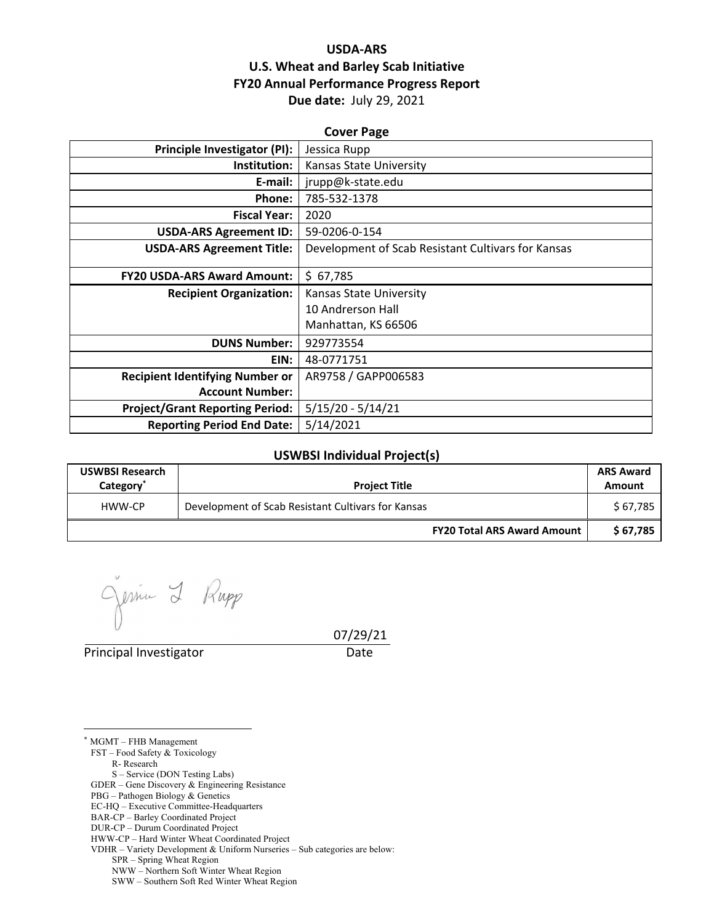# **USDA‐ARS U.S. Wheat and Barley Scab Initiative FY20 Annual Performance Progress Report Due date:** July 29, 2021

| <b>Cover Page</b>                      |                                                    |  |  |  |
|----------------------------------------|----------------------------------------------------|--|--|--|
| Principle Investigator (PI):           | Jessica Rupp                                       |  |  |  |
| Institution:                           | Kansas State University                            |  |  |  |
| E-mail:                                | jrupp@k-state.edu                                  |  |  |  |
| Phone:                                 | 785-532-1378                                       |  |  |  |
| <b>Fiscal Year:</b>                    | 2020                                               |  |  |  |
| <b>USDA-ARS Agreement ID:</b>          | 59-0206-0-154                                      |  |  |  |
| <b>USDA-ARS Agreement Title:</b>       | Development of Scab Resistant Cultivars for Kansas |  |  |  |
| <b>FY20 USDA-ARS Award Amount:</b>     | \$67,785                                           |  |  |  |
| <b>Recipient Organization:</b>         | Kansas State University                            |  |  |  |
|                                        | 10 Andrerson Hall                                  |  |  |  |
|                                        | Manhattan, KS 66506                                |  |  |  |
| <b>DUNS Number:</b>                    | 929773554                                          |  |  |  |
| EIN:                                   | 48-0771751                                         |  |  |  |
| <b>Recipient Identifying Number or</b> | AR9758 / GAPP006583                                |  |  |  |
| <b>Account Number:</b>                 |                                                    |  |  |  |
| <b>Project/Grant Reporting Period:</b> | $5/15/20 - 5/14/21$                                |  |  |  |
| <b>Reporting Period End Date:</b>      | 5/14/2021                                          |  |  |  |

#### **USWBSI Individual Project(s)**

| <b>USWBSI Research</b><br>Category <sup>®</sup> | <b>Project Title</b>                               | <b>ARS Award</b><br>Amount |
|-------------------------------------------------|----------------------------------------------------|----------------------------|
| HWW-CP                                          | Development of Scab Resistant Cultivars for Kansas | \$ 67,785                  |
|                                                 | <b>FY20 Total ARS Award Amount</b>                 | \$67,785                   |

Rupp Jessie 2

Principal Investigator **Date** 

07/29/21

\* MGMT – FHB Management

 $\overline{a}$ 

FST – Food Safety & Toxicology

R- Research

S – Service (DON Testing Labs)

GDER – Gene Discovery & Engineering Resistance

- PBG Pathogen Biology & Genetics
- EC-HQ Executive Committee-Headquarters BAR-CP – Barley Coordinated Project

DUR-CP – Durum Coordinated Project

HWW-CP – Hard Winter Wheat Coordinated Project

VDHR – Variety Development & Uniform Nurseries – Sub categories are below:

SPR – Spring Wheat Region

NWW – Northern Soft Winter Wheat Region

SWW – Southern Soft Red Winter Wheat Region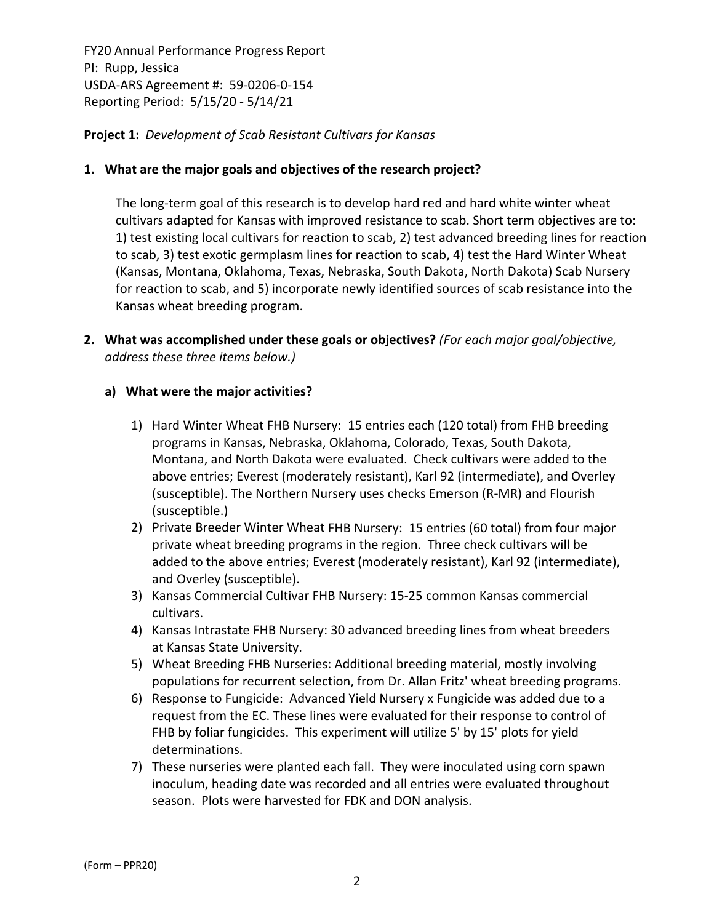**Project 1:** *Development of Scab Resistant Cultivars for Kansas*

## **1. What are the major goals and objectives of the research project?**

The long-term goal of this research is to develop hard red and hard white winter wheat cultivars adapted for Kansas with improved resistance to scab. Short term objectives are to: 1) test existing local cultivars for reaction to scab, 2) test advanced breeding lines for reaction to scab, 3) test exotic germplasm lines for reaction to scab, 4) test the Hard Winter Wheat (Kansas, Montana, Oklahoma, Texas, Nebraska, South Dakota, North Dakota) Scab Nursery for reaction to scab, and 5) incorporate newly identified sources of scab resistance into the Kansas wheat breeding program.

**2. What was accomplished under these goals or objectives?** *(For each major goal/objective, address these three items below.)*

## **a) What were the major activities?**

- 1) Hard Winter Wheat FHB Nursery: 15 entries each (120 total) from FHB breeding programs in Kansas, Nebraska, Oklahoma, Colorado, Texas, South Dakota, Montana, and North Dakota were evaluated. Check cultivars were added to the above entries; Everest (moderately resistant), Karl 92 (intermediate), and Overley (susceptible). The Northern Nursery uses checks Emerson (R‐MR) and Flourish (susceptible.)
- 2) Private Breeder Winter Wheat FHB Nursery: 15 entries (60 total) from four major private wheat breeding programs in the region. Three check cultivars will be added to the above entries; Everest (moderately resistant), Karl 92 (intermediate), and Overley (susceptible).
- 3) Kansas Commercial Cultivar FHB Nursery: 15‐25 common Kansas commercial cultivars.
- 4) Kansas Intrastate FHB Nursery: 30 advanced breeding lines from wheat breeders at Kansas State University.
- 5) Wheat Breeding FHB Nurseries: Additional breeding material, mostly involving populations for recurrent selection, from Dr. Allan Fritz' wheat breeding programs.
- 6) Response to Fungicide: Advanced Yield Nursery x Fungicide was added due to a request from the EC. These lines were evaluated for their response to control of FHB by foliar fungicides. This experiment will utilize 5' by 15' plots for yield determinations.
- 7) These nurseries were planted each fall. They were inoculated using corn spawn inoculum, heading date was recorded and all entries were evaluated throughout season. Plots were harvested for FDK and DON analysis.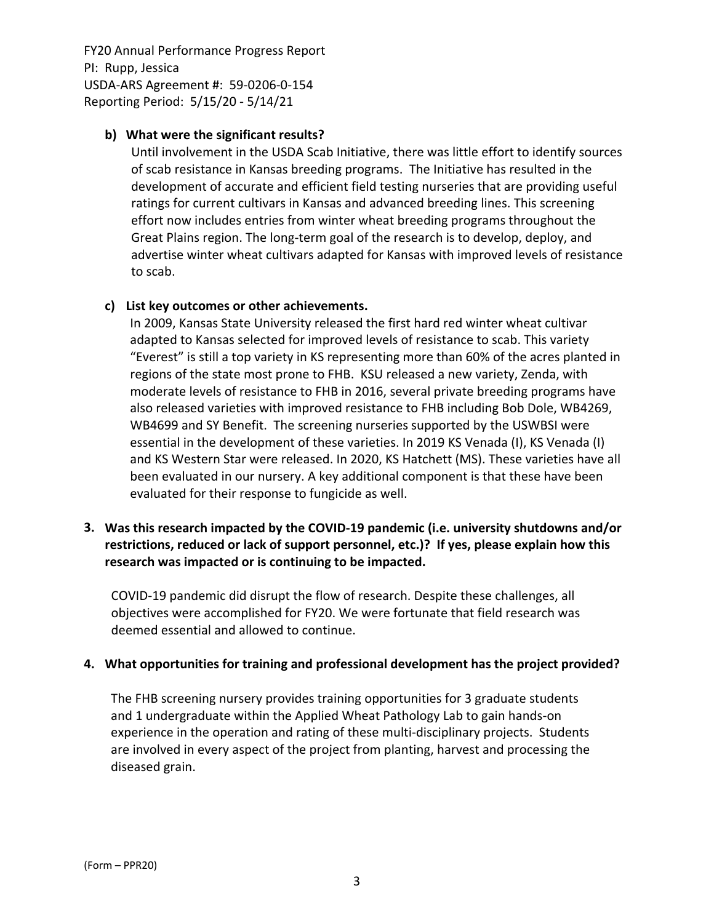## **b) What were the significant results?**

Until involvement in the USDA Scab Initiative, there was little effort to identify sources of scab resistance in Kansas breeding programs. The Initiative has resulted in the development of accurate and efficient field testing nurseries that are providing useful ratings for current cultivars in Kansas and advanced breeding lines. This screening effort now includes entries from winter wheat breeding programs throughout the Great Plains region. The long‐term goal of the research is to develop, deploy, and advertise winter wheat cultivars adapted for Kansas with improved levels of resistance to scab.

## **c) List key outcomes or other achievements.**

In 2009, Kansas State University released the first hard red winter wheat cultivar adapted to Kansas selected for improved levels of resistance to scab. This variety "Everest" is still a top variety in KS representing more than 60% of the acres planted in regions of the state most prone to FHB. KSU released a new variety, Zenda, with moderate levels of resistance to FHB in 2016, several private breeding programs have also released varieties with improved resistance to FHB including Bob Dole, WB4269, WB4699 and SY Benefit. The screening nurseries supported by the USWBSI were essential in the development of these varieties. In 2019 KS Venada (I), KS Venada (I) and KS Western Star were released. In 2020, KS Hatchett (MS). These varieties have all been evaluated in our nursery. A key additional component is that these have been evaluated for their response to fungicide as well.

# **3. Was this research impacted by the COVID‐19 pandemic (i.e. university shutdowns and/or restrictions, reduced or lack of support personnel, etc.)? If yes, please explain how this research was impacted or is continuing to be impacted.**

COVID‐19 pandemic did disrupt the flow of research. Despite these challenges, all objectives were accomplished for FY20. We were fortunate that field research was deemed essential and allowed to continue.

### **4. What opportunities for training and professional development has the project provided?**

The FHB screening nursery provides training opportunities for 3 graduate students and 1 undergraduate within the Applied Wheat Pathology Lab to gain hands‐on experience in the operation and rating of these multi-disciplinary projects. Students are involved in every aspect of the project from planting, harvest and processing the diseased grain.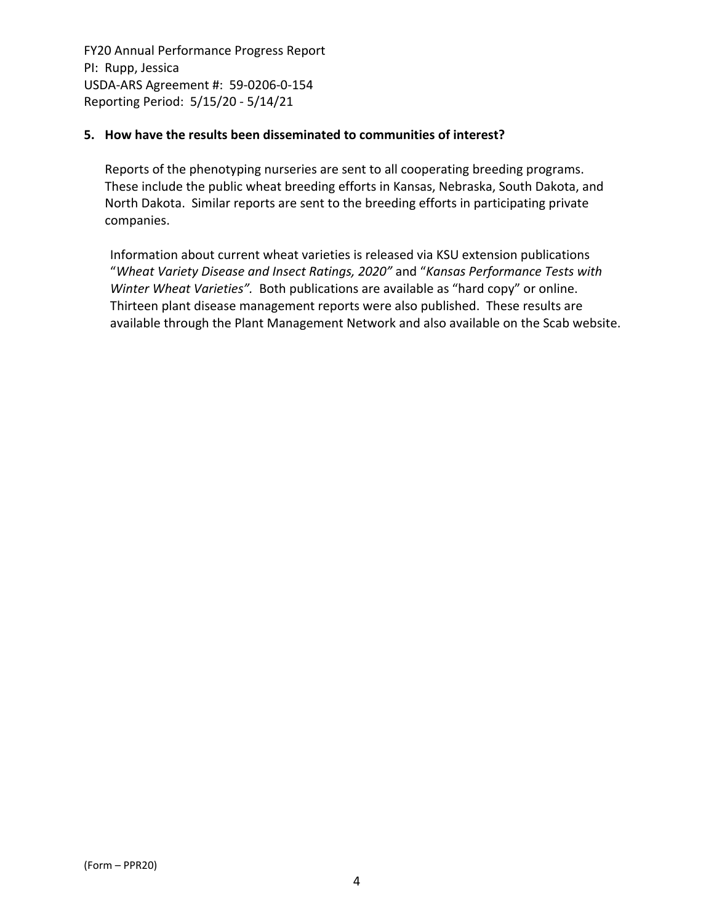## **5. How have the results been disseminated to communities of interest?**

Reports of the phenotyping nurseries are sent to all cooperating breeding programs. These include the public wheat breeding efforts in Kansas, Nebraska, South Dakota, and North Dakota. Similar reports are sent to the breeding efforts in participating private companies.

Information about current wheat varieties is released via KSU extension publications "*Wheat Variety Disease and Insect Ratings, 2020"* and "*Kansas Performance Tests with Winter Wheat Varieties".* Both publications are available as "hard copy" or online. Thirteen plant disease management reports were also published. These results are available through the Plant Management Network and also available on the Scab website.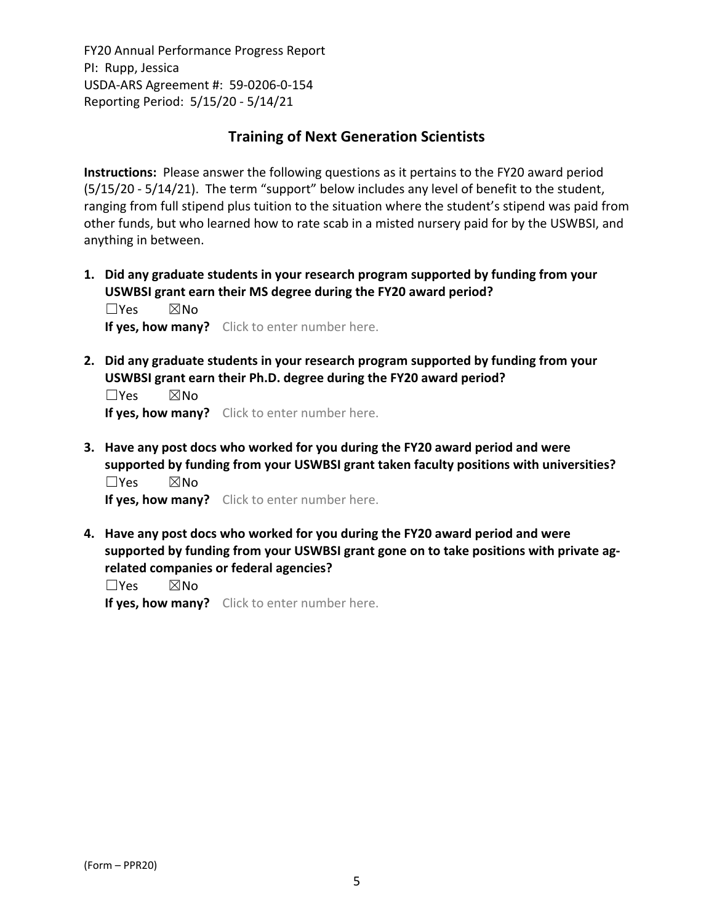# **Training of Next Generation Scientists**

**Instructions:** Please answer the following questions as it pertains to the FY20 award period (5/15/20 ‐ 5/14/21). The term "support" below includes any level of benefit to the student, ranging from full stipend plus tuition to the situation where the student's stipend was paid from other funds, but who learned how to rate scab in a misted nursery paid for by the USWBSI, and anything in between.

**1. Did any graduate students in your research program supported by funding from your USWBSI grant earn their MS degree during the FY20 award period?** ☐Yes ☒No

**If yes, how many?** Click to enter number here.

**2. Did any graduate students in your research program supported by funding from your USWBSI grant earn their Ph.D. degree during the FY20 award period?**

 $\square$ Yes  $\square$ No **If yes, how many?** Click to enter number here.

**3. Have any post docs who worked for you during the FY20 award period and were supported by funding from your USWBSI grant taken faculty positions with universities?** ☐Yes ☒No

**If yes, how many?** Click to enter number here.

**4. Have any post docs who worked for you during the FY20 award period and were supported by funding from your USWBSI grant gone on to take positions with private ag‐ related companies or federal agencies?**

☐Yes ☒No

**If yes, how many?** Click to enter number here.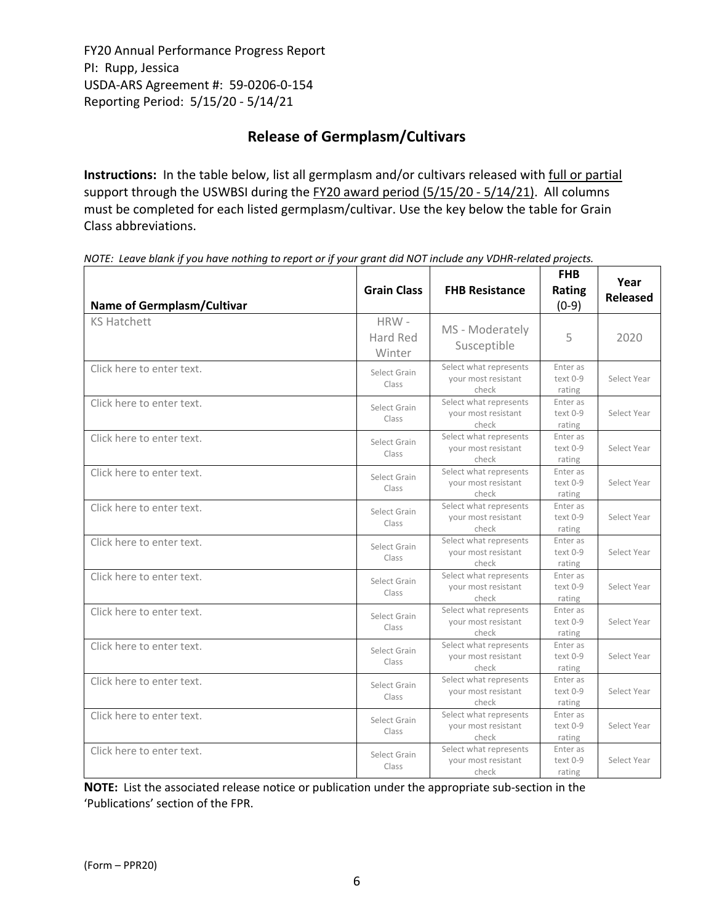# **Release of Germplasm/Cultivars**

**Instructions:** In the table below, list all germplasm and/or cultivars released with full or partial support through the USWBSI during the FY20 award period (5/15/20 - 5/14/21). All columns must be completed for each listed germplasm/cultivar. Use the key below the table for Grain Class abbreviations. 

| <b>Name of Germplasm/Cultivar</b> | <b>Grain Class</b>         | <b>FHB Resistance</b>                                  | <b>FHB</b><br>Rating<br>$(0-9)$  | Year<br><b>Released</b> |
|-----------------------------------|----------------------------|--------------------------------------------------------|----------------------------------|-------------------------|
| <b>KS Hatchett</b>                | HRW-<br>Hard Red<br>Winter | MS - Moderately<br>Susceptible                         | 5                                | 2020                    |
| Click here to enter text.         | Select Grain<br>Class      | Select what represents<br>your most resistant<br>check | Enter as<br>text 0-9<br>rating   | Select Year             |
| Click here to enter text.         | Select Grain<br>Class      | Select what represents<br>your most resistant<br>check | Enter as<br>text 0-9<br>rating   | Select Year             |
| Click here to enter text.         | Select Grain<br>Class      | Select what represents<br>your most resistant<br>check | Enter as<br>text 0-9<br>rating   | Select Year             |
| Click here to enter text.         | Select Grain<br>Class      | Select what represents<br>your most resistant<br>check | Enter as<br>text 0-9<br>rating   | Select Year             |
| Click here to enter text.         | Select Grain<br>Class      | Select what represents<br>your most resistant<br>check | Enter as<br>text 0-9<br>rating   | Select Year             |
| Click here to enter text.         | Select Grain<br>Class      | Select what represents<br>your most resistant<br>check | Enter as<br>$text 0-9$<br>rating | Select Year             |
| Click here to enter text.         | Select Grain<br>Class      | Select what represents<br>your most resistant<br>check | Enter as<br>text 0-9<br>rating   | Select Year             |
| Click here to enter text.         | Select Grain<br>Class      | Select what represents<br>your most resistant<br>check | Enter as<br>text 0-9<br>rating   | Select Year             |
| Click here to enter text.         | Select Grain<br>Class      | Select what represents<br>your most resistant<br>check | Enter as<br>text 0-9<br>rating   | Select Year             |
| Click here to enter text.         | Select Grain<br>Class      | Select what represents<br>your most resistant<br>check | Enter as<br>text 0-9<br>rating   | Select Year             |
| Click here to enter text.         | Select Grain<br>Class      | Select what represents<br>your most resistant<br>check | Enter as<br>text 0-9<br>rating   | Select Year             |
| Click here to enter text.         | Select Grain<br>Class      | Select what represents<br>your most resistant<br>check | Enter as<br>text 0-9<br>rating   | Select Year             |

NOTE: Leave blank if you have nothing to report or if your grant did NOT include any VDHR-related projects.

**NOTE:** List the associated release notice or publication under the appropriate sub-section in the 'Publications' section of the FPR.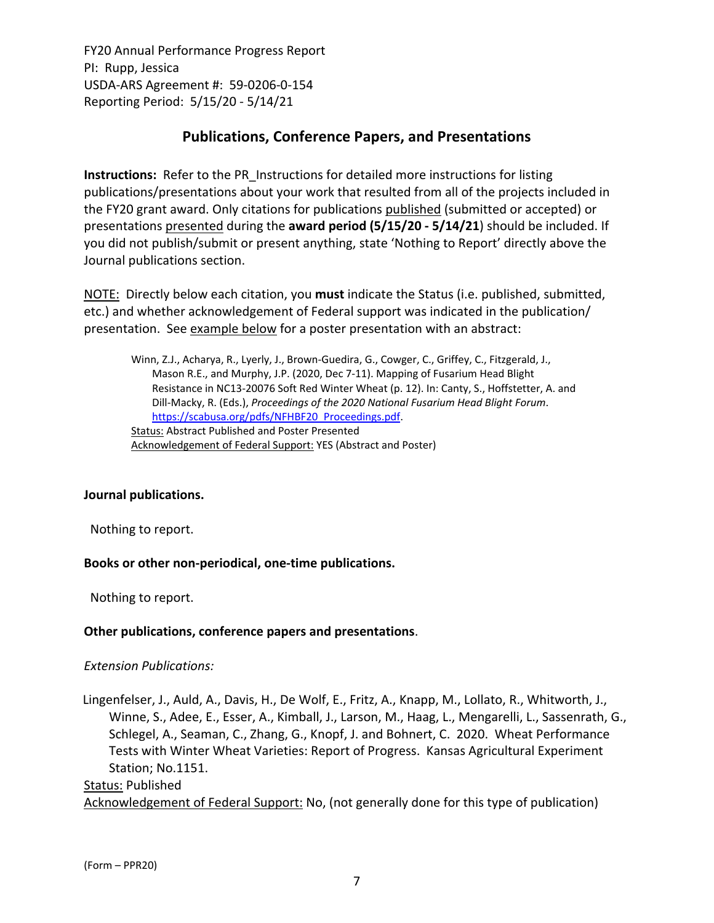# **Publications, Conference Papers, and Presentations**

**Instructions:** Refer to the PR\_Instructions for detailed more instructions for listing publications/presentations about your work that resulted from all of the projects included in the FY20 grant award. Only citations for publications published (submitted or accepted) or presentations presented during the **award period (5/15/20 ‐ 5/14/21**) should be included. If you did not publish/submit or present anything, state 'Nothing to Report' directly above the Journal publications section.

NOTE: Directly below each citation, you **must** indicate the Status (i.e. published, submitted, etc.) and whether acknowledgement of Federal support was indicated in the publication/ presentation. See example below for a poster presentation with an abstract:

Winn, Z.J., Acharya, R., Lyerly, J., Brown‐Guedira, G., Cowger, C., Griffey, C., Fitzgerald, J., Mason R.E., and Murphy, J.P. (2020, Dec 7‐11). Mapping of Fusarium Head Blight Resistance in NC13‐20076 Soft Red Winter Wheat (p. 12). In: Canty, S., Hoffstetter, A. and Dill‐Macky, R. (Eds.), *Proceedings of the 2020 National Fusarium Head Blight Forum*. https://scabusa.org/pdfs/NFHBF20\_Proceedings.pdf. Status: Abstract Published and Poster Presented Acknowledgement of Federal Support: YES (Abstract and Poster)

### **Journal publications.**

Nothing to report.

### **Books or other non‐periodical, one‐time publications.**

Nothing to report.

### **Other publications, conference papers and presentations**.

### *Extension Publications:*

Lingenfelser, J., Auld, A., Davis, H., De Wolf, E., Fritz, A., Knapp, M., Lollato, R., Whitworth, J., Winne, S., Adee, E., Esser, A., Kimball, J., Larson, M., Haag, L., Mengarelli, L., Sassenrath, G., Schlegel, A., Seaman, C., Zhang, G., Knopf, J. and Bohnert, C. 2020. Wheat Performance Tests with Winter Wheat Varieties: Report of Progress. Kansas Agricultural Experiment Station; No.1151.

# Status: Published Acknowledgement of Federal Support: No, (not generally done for this type of publication)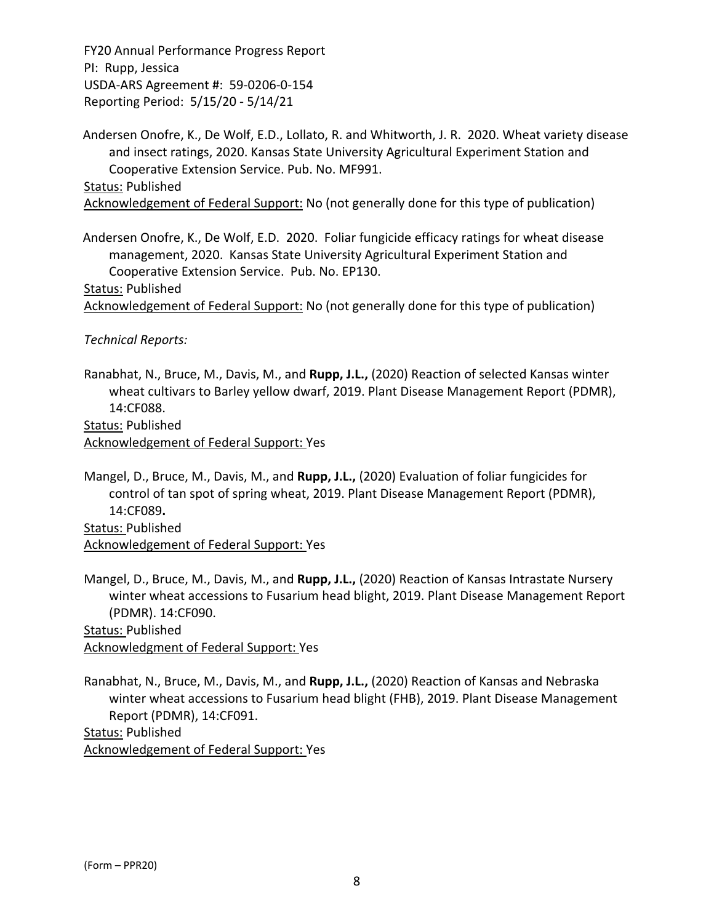Andersen Onofre, K., De Wolf, E.D., Lollato, R. and Whitworth, J. R. 2020. Wheat variety disease and insect ratings, 2020. Kansas State University Agricultural Experiment Station and Cooperative Extension Service. Pub. No. MF991.

Status: Published

Acknowledgement of Federal Support: No (not generally done for this type of publication)

Andersen Onofre, K., De Wolf, E.D. 2020. Foliar fungicide efficacy ratings for wheat disease management, 2020. Kansas State University Agricultural Experiment Station and Cooperative Extension Service. Pub. No. EP130.

Status: Published

Acknowledgement of Federal Support: No (not generally done for this type of publication)

*Technical Reports:*

Ranabhat, N., Bruce, M., Davis, M., and **Rupp, J.L.,** (2020) Reaction of selected Kansas winter wheat cultivars to Barley yellow dwarf, 2019. Plant Disease Management Report (PDMR), 14:CF088.

Status: Published

Acknowledgement of Federal Support: Yes

Mangel, D., Bruce, M., Davis, M., and **Rupp, J.L.,** (2020) Evaluation of foliar fungicides for control of tan spot of spring wheat, 2019. Plant Disease Management Report (PDMR), 14:CF089**.**

Status: Published Acknowledgement of Federal Support: Yes

Mangel, D., Bruce, M., Davis, M., and **Rupp, J.L.,** (2020) Reaction of Kansas Intrastate Nursery winter wheat accessions to Fusarium head blight, 2019. Plant Disease Management Report (PDMR). 14:CF090. Status: Published

Acknowledgment of Federal Support: Yes

Ranabhat, N., Bruce, M., Davis, M., and **Rupp, J.L.,** (2020) Reaction of Kansas and Nebraska winter wheat accessions to Fusarium head blight (FHB), 2019. Plant Disease Management Report (PDMR), 14:CF091. Status: Published

Acknowledgement of Federal Support: Yes